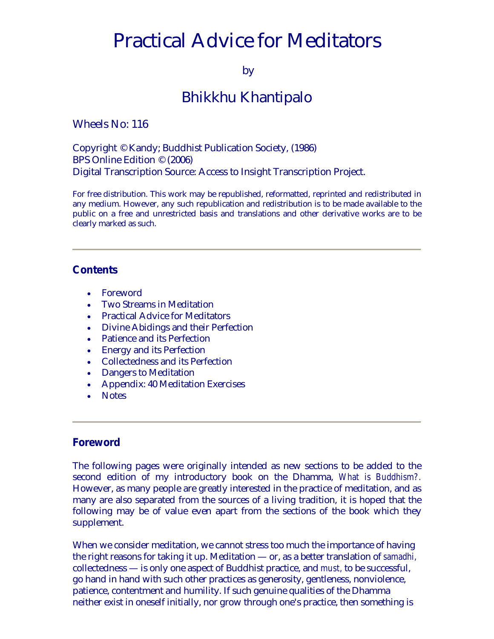# <span id="page-0-0"></span>Practical Advice for Meditators

by

# Bhikkhu Khantipalo

Wheels No: 116

Copyright © Kandy; Buddhist Publication Society, (1986) BPS Online Edition © (2006) Digital Transcription Source: Access to Insight Transcription Project.

For free distribution. This work may be republished, reformatted, reprinted and redistributed in any medium. However, any such republication and redistribution is to be made available to the public on a free and unrestricted basis and translations and other derivative works are to be clearly marked as such.

# **Contents**

- [Foreword](#page-0-0)
- [Two Streams in](#page-1-0) Meditation
- [Practical Advice for Meditators](#page-2-0)
- [Divine Abidings and their Perfection](#page-8-0)
- [Patience and its Perfection](#page-10-0)
- [Energy and its Perfection](#page-11-0)
- [Collectedness and its Perfection](#page-12-0)
- [Dangers to Meditation](#page-13-0)
- [Appendix: 40 Meditation Exercises](#page-15-0)
- [Notes](#page-19-0)

# **Foreword**

The following pages were originally intended as new sections to be added to the second edition of my introductory book on the Dhamma, *What is Buddhism?.* However, as many people are greatly interested in the practice of meditation, and as many are also separated from the sources of a living tradition, it is hoped that the following may be of value even apart from the sections of the book which they supplement.

When we consider meditation, we cannot stress too much the importance of having the right reasons for taking it up. Meditation — or, as a better translation of *samadhi,* collectedness — is only one aspect of Buddhist practice, and *must,* to be successful, go hand in hand with such other practices as generosity, gentleness, nonviolence, patience, contentment and humility. If such genuine qualities of the Dhamma neither exist in oneself initially, nor grow through one's practice, then something is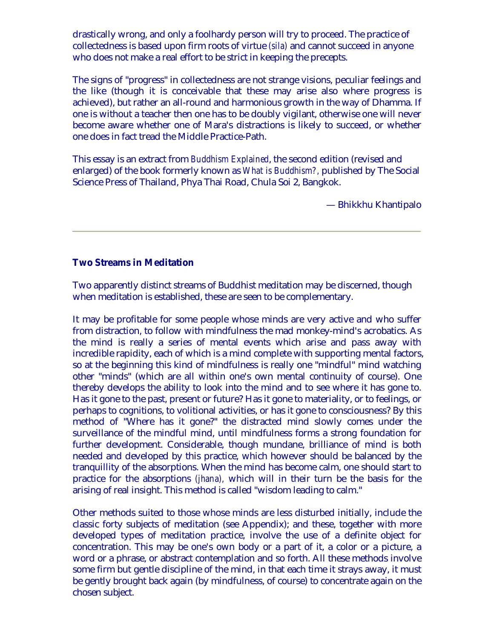<span id="page-1-0"></span>drastically wrong, and only a foolhardy person will try to proceed. The practice of collectedness is based upon firm roots of virtue *(sila)* and cannot succeed in anyone who does not make a real effort to be strict in keeping the precepts.

The signs of "progress" in collectedness are not strange visions, peculiar feelings and the like (though it is conceivable that these may arise also where progress is achieved), but rather an all-round and harmonious growth in the way of Dhamma. If one is without a teacher then one has to be doubly vigilant, otherwise one will never become aware whether one of Mara's distractions is likely to succeed, or whether one does in fact tread the Middle Practice-Path.

This essay is an extract from *Buddhism Explained*, the second edition (revised and enlarged) of the book formerly known as *What is Buddhism?,* published by The Social Science Press of Thailand, Phya Thai Road, Chula Soi 2, Bangkok.

— Bhikkhu Khantipalo

# **Two Streams in Meditation**

Two apparently distinct streams of Buddhist meditation may be discerned, though when meditation is established, these are seen to be complementary.

It may be profitable for some people whose minds are very active and who suffer from distraction, to follow with mindfulness the mad monkey-mind's acrobatics. As the mind is really a series of mental events which arise and pass away with incredible rapidity, each of which is a mind complete with supporting mental factors, so at the beginning this kind of mindfulness is really one "mindful" mind watching other "minds" (which are all within one's own mental continuity of course). One thereby develops the ability to look into the mind and to see where it has gone to. Has it gone to the past, present or future? Has it gone to materiality, or to feelings, or perhaps to cognitions, to volitional activities, or has it gone to consciousness? By this method of "Where has it gone?" the distracted mind slowly comes under the surveillance of the mindful mind, until mindfulness forms a strong foundation for further development. Considerable, though mundane, brilliance of mind is both needed and developed by this practice, which however should be balanced by the tranquillity of the absorptions. When the mind has become calm, one should start to practice for the absorptions *(jhana),* which will in their turn be the basis for the arising of real insight. This method is called "wisdom leading to calm."

Other methods suited to those whose minds are less disturbed initially, include the classic forty subjects of meditation (see Appendix); and these, together with more developed types of meditation practice, involve the use of a definite object for concentration. This may be one's own body or a part of it, a color or a picture, a word or a phrase, or abstract contemplation and so forth. All these methods involve some firm but gentle discipline of the mind, in that each time it strays away, it must be gently brought back again (by mindfulness, of course) to concentrate again on the chosen subject.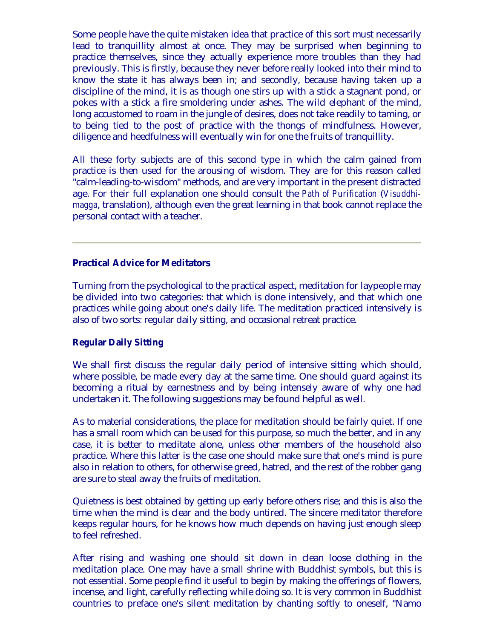<span id="page-2-0"></span>Some people have the quite mistaken idea that practice of this sort must necessarily lead to tranquillity almost at once. They may be surprised when beginning to practice themselves, since they actually experience more troubles than they had previously. This is firstly, because they never before really looked into their mind to know the state it has always been in; and secondly, because having taken up a discipline of the mind, it is as though one stirs up with a stick a stagnant pond, or pokes with a stick a fire smoldering under ashes. The wild elephant of the mind, long accustomed to roam in the jungle of desires, does not take readily to taming, or to being tied to the post of practice with the thongs of mindfulness. However, diligence and heedfulness will eventually win for one the fruits of tranquillity.

All these forty subjects are of this second type in which the calm gained from practice is then used for the arousing of wisdom. They are for this reason called "calm-leading-to-wisdom" methods, and are very important in the present distracted age. For their full explanation one should consult the *Path of Purification* (*Visuddhimagga*, translation), although even the great learning in that book cannot replace the personal contact with a teacher.

#### **Practical Advice for Meditators**

Turning from the psychological to the practical aspect, meditation for laypeople may be divided into two categories: that which is done intensively, and that which one practices while going about one's daily life. The meditation practiced intensively is also of two sorts: regular daily sitting, and occasional retreat practice.

#### **Regular Daily Sitting**

We shall first discuss the regular daily period of intensive sitting which should, where possible, be made every day at the same time. One should guard against its becoming a ritual by earnestness and by being intensely aware of why one had undertaken it. The following suggestions may be found helpful as well.

As to material considerations, the place for meditation should be fairly quiet. If one has a small room which can be used for this purpose, so much the better, and in any case, it is better to meditate alone, unless other members of the household also practice. Where this latter is the case one should make sure that one's mind is pure also in relation to others, for otherwise greed, hatred, and the rest of the robber gang are sure to steal away the fruits of meditation.

Quietness is best obtained by getting up early before others rise; and this is also the time when the mind is clear and the body untired. The sincere meditator therefore keeps regular hours, for he knows how much depends on having just enough sleep to feel refreshed.

After rising and washing one should sit down in clean loose clothing in the meditation place. One may have a small shrine with Buddhist symbols, but this is not essential. Some people find it useful to begin by making the offerings of flowers, incense, and light, carefully reflecting while doing so. It is very common in Buddhist countries to preface one's silent meditation by chanting softly to oneself, "Namo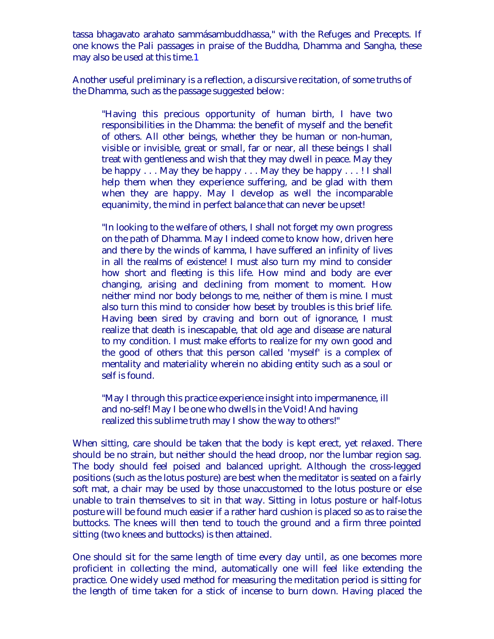<span id="page-3-0"></span>tassa bhagavato arahato sammásambuddhassa," with the Refuges and Precepts. If one knows the Pali passages in praise of the Buddha, Dhamma and Sangha, these may also be used at this time.[1](#page-19-0)

Another useful preliminary is a reflection, a discursive recitation, of some truths of the Dhamma, such as the passage suggested below:

"Having this precious opportunity of human birth, I have two responsibilities in the Dhamma: the benefit of myself and the benefit of others. All other beings, whether they be human or non-human, visible or invisible, great or small, far or near, all these beings I shall treat with gentleness and wish that they may dwell in peace. May they be happy . . . May they be happy . . . May they be happy . . . ! I shall help them when they experience suffering, and be glad with them when they are happy. May I develop as well the incomparable equanimity, the mind in perfect balance that can never be upset!

"In looking to the welfare of others, I shall not forget my own progress on the path of Dhamma. May I indeed come to know how, driven here and there by the winds of kamma, I have suffered an infinity of lives in all the realms of existence! I must also turn my mind to consider how short and fleeting is this life. How mind and body are ever changing, arising and declining from moment to moment. How neither mind nor body belongs to me, neither of them is mine. I must also turn this mind to consider how beset by troubles is this brief life. Having been sired by craving and born out of ignorance, I must realize that death is inescapable, that old age and disease are natural to my condition. I must make efforts to realize for my own good and the good of others that this person called 'myself' is a complex of mentality and materiality wherein no abiding entity such as a soul or self is found.

"May I through this practice experience insight into impermanence, ill and no-self! May I be one who dwells in the Void! And having realized this sublime truth may I show the way to others!"

When sitting, care should be taken that the body is kept erect, yet relaxed. There should be no strain, but neither should the head droop, nor the lumbar region sag. The body should feel poised and balanced upright. Although the cross-legged positions (such as the lotus posture) are best when the meditator is seated on a fairly soft mat, a chair may be used by those unaccustomed to the lotus posture or else unable to train themselves to sit in that way. Sitting in lotus posture or half-lotus posture will be found much easier if a rather hard cushion is placed so as to raise the buttocks. The knees will then tend to touch the ground and a firm three pointed sitting (two knees and buttocks) is then attained.

One should sit for the same length of time every day until, as one becomes more proficient in collecting the mind, automatically one will feel like extending the practice. One widely used method for measuring the meditation period is sitting for the length of time taken for a stick of incense to burn down. Having placed the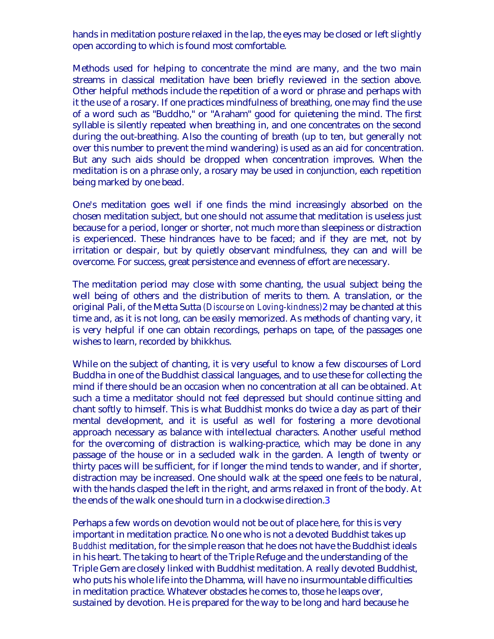<span id="page-4-0"></span>hands in meditation posture relaxed in the lap, the eyes may be closed or left slightly open according to which is found most comfortable.

Methods used for helping to concentrate the mind are many, and the two main streams in classical meditation have been briefly reviewed in the section above. Other helpful methods include the repetition of a word or phrase and perhaps with it the use of a rosary. If one practices mindfulness of breathing, one may find the use of a word such as "Buddho," or "Araham" good for quietening the mind. The first syllable is silently repeated when breathing in, and one concentrates on the second during the out-breathing. Also the counting of breath (up to ten, but generally not over this number to prevent the mind wandering) is used as an aid for concentration. But any such aids should be dropped when concentration improves. When the meditation is on a phrase only, a rosary may be used in conjunction, each repetition being marked by one bead.

One's meditation goes well if one finds the mind increasingly absorbed on the chosen meditation subject, but one should not assume that meditation is useless just because for a period, longer or shorter, not much more than sleepiness or distraction is experienced. These hindrances have to be faced; and if they are met, not by irritation or despair, but by quietly observant mindfulness, they can and will be overcome. For success, great persistence and evenness of effort are necessary.

The meditation period may close with some chanting, the usual subject being the well being of others and the distribution of merits to them. A translation, or the original Pali, of the Metta Sutta *(Discourse on Loving-kindness)*[2](#page-19-0) may be chanted at this time and, as it is not long, can be easily memorized. As methods of chanting vary, it is very helpful if one can obtain recordings, perhaps on tape, of the passages one wishes to learn, recorded by bhikkhus.

While on the subject of chanting, it is very useful to know a few discourses of Lord Buddha in one of the Buddhist classical languages, and to use these for collecting the mind if there should be an occasion when no concentration at all can be obtained. At such a time a meditator should not feel depressed but should continue sitting and chant softly to himself. This is what Buddhist monks do twice a day as part of their mental development, and it is useful as well for fostering a more devotional approach necessary as balance with intellectual characters. Another useful method for the overcoming of distraction is walking-practice, which may be done in any passage of the house or in a secluded walk in the garden. A length of twenty or thirty paces will be sufficient, for if longer the mind tends to wander, and if shorter, distraction may be increased. One should walk at the speed one feels to be natural, with the hands clasped the left in the right, and arms relaxed in front of the body. At the ends of the walk one should turn in a clockwise direction[.3](#page-19-0)

Perhaps a few words on devotion would not be out of place here, for this is very important in meditation practice. No one who is not a devoted Buddhist takes up *Buddhist* meditation, for the simple reason that he does not have the Buddhist ideals in his heart. The taking to heart of the Triple Refuge and the understanding of the Triple Gem are closely linked with Buddhist meditation. A really devoted Buddhist, who puts his whole life into the Dhamma, will have no insurmountable difficulties in meditation practice. Whatever obstacles he comes to, those he leaps over, sustained by devotion. He is prepared for the way to be long and hard because he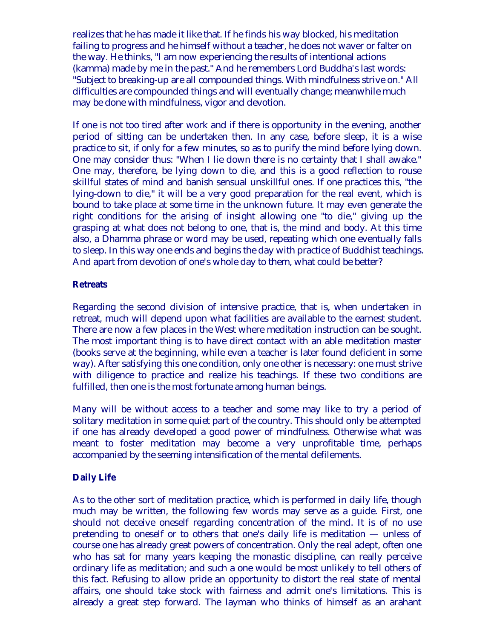realizes that he has made it like that. If he finds his way blocked, his meditation failing to progress and he himself without a teacher, he does not waver or falter on the way. He thinks, "I am now experiencing the results of intentional actions (kamma) made by me in the past." And he remembers Lord Buddha's last words: "Subject to breaking-up are all compounded things. With mindfulness strive on." All difficulties are compounded things and will eventually change; meanwhile much may be done with mindfulness, vigor and devotion.

If one is not too tired after work and if there is opportunity in the evening, another period of sitting can be undertaken then. In any case, before sleep, it is a wise practice to sit, if only for a few minutes, so as to purify the mind before lying down. One may consider thus: "When I lie down there is no certainty that I shall awake." One may, therefore, be lying down to die, and this is a good reflection to rouse skillful states of mind and banish sensual unskillful ones. If one practices this, "the lying-down to die," it will be a very good preparation for the real event, which is bound to take place at some time in the unknown future. It may even generate the right conditions for the arising of insight allowing one "to die," giving up the grasping at what does not belong to one, that is, the mind and body. At this time also, a Dhamma phrase or word may be used, repeating which one eventually falls to sleep. In this way one ends and begins the day with practice of Buddhist teachings. And apart from devotion of one's whole day to them, what could be better?

#### **Retreats**

Regarding the second division of intensive practice, that is, when undertaken in retreat, much will depend upon what facilities are available to the earnest student. There are now a few places in the West where meditation instruction can be sought. The most important thing is to have direct contact with an able meditation master (books serve at the beginning, while even a teacher is later found deficient in some way). After satisfying this one condition, only one other is necessary: one must strive with diligence to practice and realize his teachings. If these two conditions are fulfilled, then one is the most fortunate among human beings.

Many will be without access to a teacher and some may like to try a period of solitary meditation in some quiet part of the country. This should only be attempted if one has already developed a good power of mindfulness. Otherwise what was meant to foster meditation may become a very unprofitable time, perhaps accompanied by the seeming intensification of the mental defilements.

#### **Daily Life**

As to the other sort of meditation practice, which is performed in daily life, though much may be written, the following few words may serve as a guide. First, one should not deceive oneself regarding concentration of the mind. It is of no use pretending to oneself or to others that one's daily life is meditation — unless of course one has already great powers of concentration. Only the real adept, often one who has sat for many years keeping the monastic discipline, can really perceive ordinary life as meditation; and such a one would be most unlikely to tell others of this fact. Refusing to allow pride an opportunity to distort the real state of mental affairs, one should take stock with fairness and admit one's limitations. This is already a great step forward. The layman who thinks of himself as an arahant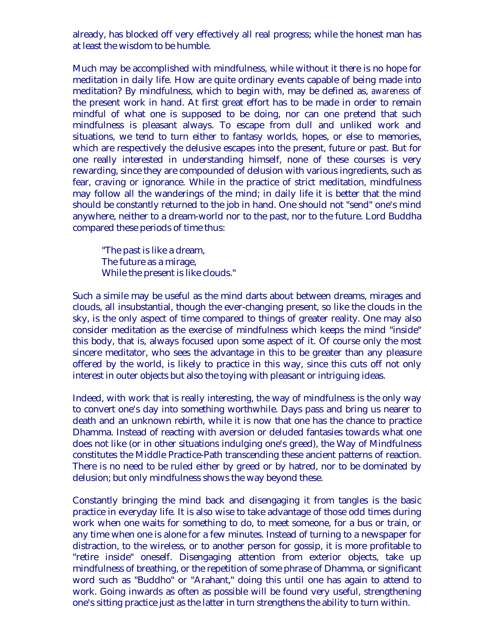already, has blocked off very effectively all real progress; while the honest man has at least the wisdom to be humble.

Much may be accomplished with mindfulness, while without it there is no hope for meditation in daily life. How are quite ordinary events capable of being made into meditation? By mindfulness, which to begin with, may be defined as, *awareness* of the present work in hand. At first great effort has to be made in order to remain mindful of what one is supposed to be doing, nor can one pretend that such mindfulness is pleasant always. To escape from dull and unliked work and situations, we tend to turn either to fantasy worlds, hopes, or else to memories, which are respectively the delusive escapes into the present, future or past. But for one really interested in understanding himself, none of these courses is very rewarding, since they are compounded of delusion with various ingredients, such as fear, craving or ignorance. While in the practice of strict meditation, mindfulness may follow all the wanderings of the mind; in daily life it is better that the mind should be constantly returned to the job in hand. One should not "send" one's mind anywhere, neither to a dream-world nor to the past, nor to the future. Lord Buddha compared these periods of time thus:

"The past is like a dream, The future as a mirage, While the present is like clouds."

Such a simile may be useful as the mind darts about between dreams, mirages and clouds, all insubstantial, though the ever-changing present, so like the clouds in the sky, is the only aspect of time compared to things of greater reality. One may also consider meditation as the exercise of mindfulness which keeps the mind "inside" this body, that is, always focused upon some aspect of it. Of course only the most sincere meditator, who sees the advantage in this to be greater than any pleasure offered by the world, is likely to practice in this way, since this cuts off not only interest in outer objects but also the toying with pleasant or intriguing ideas.

Indeed, with work that is really interesting, the way of mindfulness is the only way to convert one's day into something worthwhile. Days pass and bring us nearer to death and an unknown rebirth, while it is now that one has the chance to practice Dhamma. Instead of reacting with aversion or deluded fantasies towards what one does not like (or in other situations indulging one's greed), the Way of Mindfulness constitutes the Middle Practice-Path transcending these ancient patterns of reaction. There is no need to be ruled either by greed or by hatred, nor to be dominated by delusion; but only mindfulness shows the way beyond these.

Constantly bringing the mind back and disengaging it from tangles is the basic practice in everyday life. It is also wise to take advantage of those odd times during work when one waits for something to do, to meet someone, for a bus or train, or any time when one is alone for a few minutes. Instead of turning to a newspaper for distraction, to the wireless, or to another person for gossip, it is more profitable to "retire inside" oneself. Disengaging attention from exterior objects, take up mindfulness of breathing, or the repetition of some phrase of Dhamma, or significant word such as "Buddho" or "Arahant," doing this until one has again to attend to work. Going inwards as often as possible will be found very useful, strengthening one's sitting practice just as the latter in turn strengthens the ability to turn within.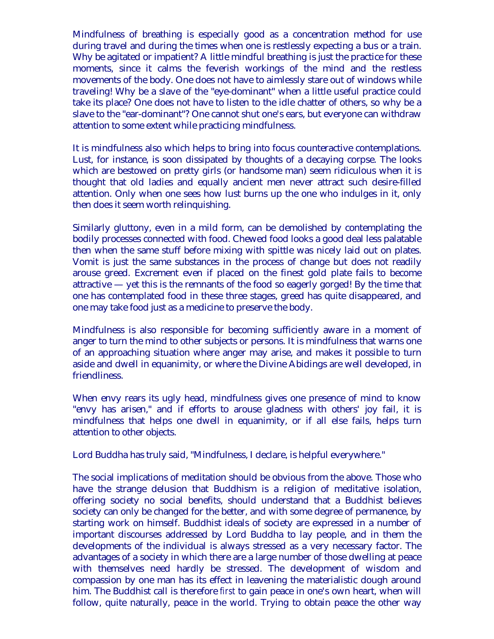Mindfulness of breathing is especially good as a concentration method for use during travel and during the times when one is restlessly expecting a bus or a train. Why be agitated or impatient? A little mindful breathing is just the practice for these moments, since it calms the feverish workings of the mind and the restless movements of the body. One does not have to aimlessly stare out of windows while traveling! Why be a slave of the "eye-dominant" when a little useful practice could take its place? One does not have to listen to the idle chatter of others, so why be a slave to the "ear-dominant"? One cannot shut one's ears, but everyone can withdraw attention to some extent while practicing mindfulness.

It is mindfulness also which helps to bring into focus counteractive contemplations. Lust, for instance, is soon dissipated by thoughts of a decaying corpse. The looks which are bestowed on pretty girls (or handsome man) seem ridiculous when it is thought that old ladies and equally ancient men never attract such desire-filled attention. Only when one sees how lust burns up the one who indulges in it, only then does it seem worth relinquishing.

Similarly gluttony, even in a mild form, can be demolished by contemplating the bodily processes connected with food. Chewed food looks a good deal less palatable then when the same stuff before mixing with spittle was nicely laid out on plates. Vomit is just the same substances in the process of change but does not readily arouse greed. Excrement even if placed on the finest gold plate fails to become attractive — yet this is the remnants of the food so eagerly gorged! By the time that one has contemplated food in these three stages, greed has quite disappeared, and one may take food just as a medicine to preserve the body.

Mindfulness is also responsible for becoming sufficiently aware in a moment of anger to turn the mind to other subjects or persons. It is mindfulness that warns one of an approaching situation where anger may arise, and makes it possible to turn aside and dwell in equanimity, or where the Divine Abidings are well developed, in friendliness.

When envy rears its ugly head, mindfulness gives one presence of mind to know "envy has arisen," and if efforts to arouse gladness with others' joy fail, it is mindfulness that helps one dwell in equanimity, or if all else fails, helps turn attention to other objects.

Lord Buddha has truly said, "Mindfulness, I declare, is helpful everywhere."

The social implications of meditation should be obvious from the above. Those who have the strange delusion that Buddhism is a religion of meditative isolation, offering society no social benefits, should understand that a Buddhist believes society can only be changed for the better, and with some degree of permanence, by starting work on himself. Buddhist ideals of society are expressed in a number of important discourses addressed by Lord Buddha to lay people, and in them the developments of the individual is always stressed as a very necessary factor. The advantages of a society in which there are a large number of those dwelling at peace with themselves need hardly be stressed. The development of wisdom and compassion by one man has its effect in leavening the materialistic dough around him. The Buddhist call is therefore *first* to gain peace in one's own heart, when will follow, quite naturally, peace in the world. Trying to obtain peace the other way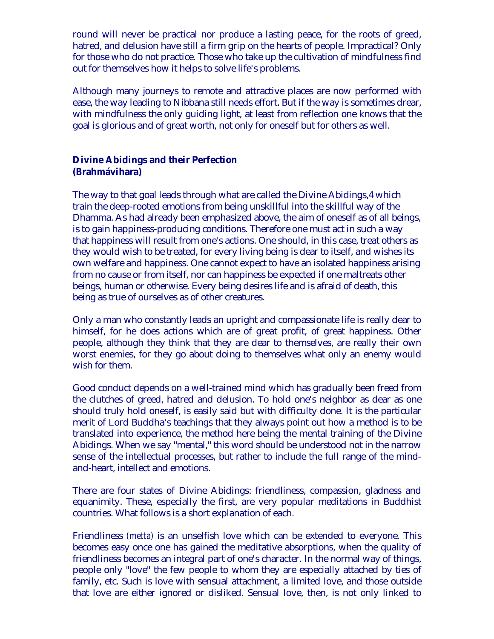<span id="page-8-0"></span>round will never be practical nor produce a lasting peace, for the roots of greed, hatred, and delusion have still a firm grip on the hearts of people. Impractical? Only for those who do not practice. Those who take up the cultivation of mindfulness find out for themselves how it helps to solve life's problems.

Although many journeys to remote and attractive places are now performed with ease, the way leading to Nibbana still needs effort. But if the way is sometimes drear, with mindfulness the only guiding light, at least from reflection one knows that the goal is glorious and of great worth, not only for oneself but for others as well.

#### **Divine Abidings and their Perfection (Brahmávihara)**

The way to that goal leads through what are called the Divine Abidings,[4](#page-19-0) which train the deep-rooted emotions from being unskillful into the skillful way of the Dhamma. As had already been emphasized above, the aim of oneself as of all beings, is to gain happiness-producing conditions. Therefore one must act in such a way that happiness will result from one's actions. One should, in this case, treat others as they would wish to be treated, for every living being is dear to itself, and wishes its own welfare and happiness. One cannot expect to have an isolated happiness arising from no cause or from itself, nor can happiness be expected if one maltreats other beings, human or otherwise. Every being desires life and is afraid of death, this being as true of ourselves as of other creatures.

Only a man who constantly leads an upright and compassionate life is really dear to himself, for he does actions which are of great profit, of great happiness. Other people, although they think that they are dear to themselves, are really their own worst enemies, for they go about doing to themselves what only an enemy would wish for them.

Good conduct depends on a well-trained mind which has gradually been freed from the clutches of greed, hatred and delusion. To hold one's neighbor as dear as one should truly hold oneself, is easily said but with difficulty done. It is the particular merit of Lord Buddha's teachings that they always point out how a method is to be translated into experience, the method here being the mental training of the Divine Abidings. When we say "mental," this word should be understood not in the narrow sense of the intellectual processes, but rather to include the full range of the mindand-heart, intellect and emotions.

There are four states of Divine Abidings: friendliness, compassion, gladness and equanimity. These, especially the first, are very popular meditations in Buddhist countries. What follows is a short explanation of each.

Friendliness *(metta)* is an unselfish love which can be extended to everyone. This becomes easy once one has gained the meditative absorptions, when the quality of friendliness becomes an integral part of one's character. In the normal way of things, people only "love" the few people to whom they are especially attached by ties of family, etc. Such is love with sensual attachment, a limited love, and those outside that love are either ignored or disliked. Sensual love, then, is not only linked to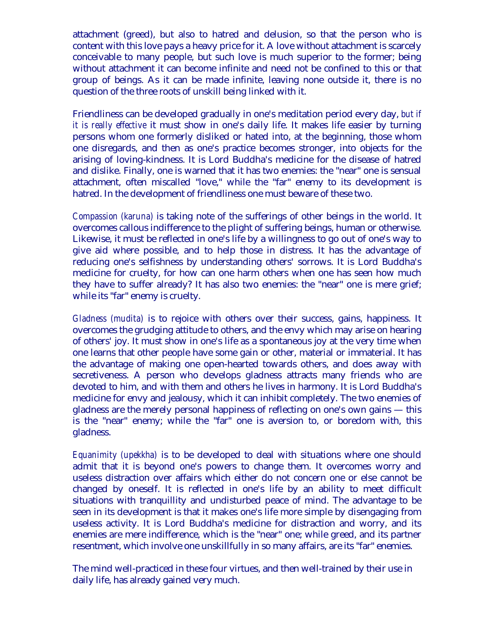attachment (greed), but also to hatred and delusion, so that the person who is content with this love pays a heavy price for it. A love without attachment is scarcely conceivable to many people, but such love is much superior to the former; being without attachment it can become infinite and need not be confined to this or that group of beings. As it can be made infinite, leaving none outside it, there is no question of the three roots of unskill being linked with it.

Friendliness can be developed gradually in one's meditation period every day, *but if it is really effective* it must show in one's daily life. It makes life easier by turning persons whom one formerly disliked or hated into, at the beginning, those whom one disregards, and then as one's practice becomes stronger, into objects for the arising of loving-kindness. It is Lord Buddha's medicine for the disease of hatred and dislike. Finally, one is warned that it has two enemies: the "near" one is sensual attachment, often miscalled "love," while the "far" enemy to its development is hatred. In the development of friendliness one must beware of these two.

*Compassion (karuna)* is taking note of the sufferings of other beings in the world. It overcomes callous indifference to the plight of suffering beings, human or otherwise. Likewise, it must be reflected in one's life by a willingness to go out of one's way to give aid where possible, and to help those in distress. It has the advantage of reducing one's selfishness by understanding others' sorrows. It is Lord Buddha's medicine for cruelty, for how can one harm others when one has seen how much they have to suffer already? It has also two enemies: the "near" one is mere grief; while its "far" enemy is cruelty.

*Gladness (mudita)* is to rejoice with others over their success, gains, happiness. It overcomes the grudging attitude to others, and the envy which may arise on hearing of others' joy. It must show in one's life as a spontaneous joy at the very time when one learns that other people have some gain or other, material or immaterial. It has the advantage of making one open-hearted towards others, and does away with secretiveness. A person who develops gladness attracts many friends who are devoted to him, and with them and others he lives in harmony. It is Lord Buddha's medicine for envy and jealousy, which it can inhibit completely. The two enemies of gladness are the merely personal happiness of reflecting on one's own gains — this is the "near" enemy; while the "far" one is aversion to, or boredom with, this gladness.

*Equanimity (upekkha)* is to be developed to deal with situations where one should admit that it is beyond one's powers to change them. It overcomes worry and useless distraction over affairs which either do not concern one or else cannot be changed by oneself. It is reflected in one's life by an ability to meet difficult situations with tranquillity and undisturbed peace of mind. The advantage to be seen in its development is that it makes one's life more simple by disengaging from useless activity. It is Lord Buddha's medicine for distraction and worry, and its enemies are mere indifference, which is the "near" one; while greed, and its partner resentment, which involve one unskillfully in so many affairs, are its "far" enemies.

The mind well-practiced in these four virtues, and then well-trained by their use in daily life, has already gained very much.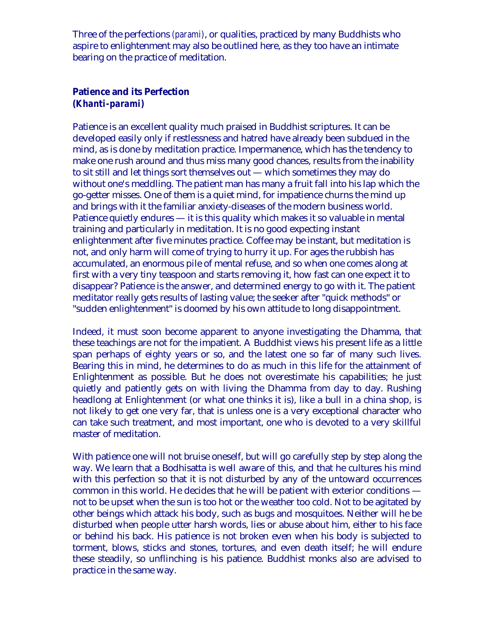<span id="page-10-0"></span>Three of the perfections *(parami)*, or qualities, practiced by many Buddhists who aspire to enlightenment may also be outlined here, as they too have an intimate bearing on the practice of meditation.

#### **Patience and its Perfection** *(Khanti-parami)*

Patience is an excellent quality much praised in Buddhist scriptures. It can be developed easily only if restlessness and hatred have already been subdued in the mind, as is done by meditation practice. Impermanence, which has the tendency to make one rush around and thus miss many good chances, results from the inability to sit still and let things sort themselves out — which sometimes they may do without one's meddling. The patient man has many a fruit fall into his lap which the go-getter misses. One of them is a quiet mind, for impatience churns the mind up and brings with it the familiar anxiety-diseases of the modern business world. Patience quietly endures — it is this quality which makes it so valuable in mental training and particularly in meditation. It is no good expecting instant enlightenment after five minutes practice. Coffee may be instant, but meditation is not, and only harm will come of trying to hurry it up. For ages the rubbish has accumulated, an enormous pile of mental refuse, and so when one comes along at first with a very tiny teaspoon and starts removing it, how fast can one expect it to disappear? Patience is the answer, and determined energy to go with it. The patient meditator really gets results of lasting value; the seeker after "quick methods" or "sudden enlightenment" is doomed by his own attitude to long disappointment.

Indeed, it must soon become apparent to anyone investigating the Dhamma, that these teachings are not for the impatient. A Buddhist views his present life as a little span perhaps of eighty years or so, and the latest one so far of many such lives. Bearing this in mind, he determines to do as much in this life for the attainment of Enlightenment as possible. But he does not overestimate his capabilities; he just quietly and patiently gets on with living the Dhamma from day to day. Rushing headlong at Enlightenment (or what one thinks it is), like a bull in a china shop, is not likely to get one very far, that is unless one is a very exceptional character who can take such treatment, and most important, one who is devoted to a very skillful master of meditation.

With patience one will not bruise oneself, but will go carefully step by step along the way. We learn that a Bodhisatta is well aware of this, and that he cultures his mind with this perfection so that it is not disturbed by any of the untoward occurrences common in this world. He decides that he will be patient with exterior conditions not to be upset when the sun is too hot or the weather too cold. Not to be agitated by other beings which attack his body, such as bugs and mosquitoes. Neither will he be disturbed when people utter harsh words, lies or abuse about him, either to his face or behind his back. His patience is not broken even when his body is subjected to torment, blows, sticks and stones, tortures, and even death itself; he will endure these steadily, so unflinching is his patience. Buddhist monks also are advised to practice in the same way.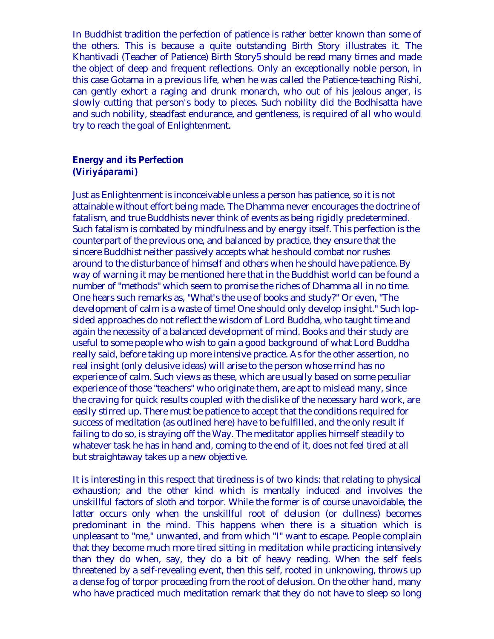<span id="page-11-0"></span>In Buddhist tradition the perfection of patience is rather better known than some of the others. This is because a quite outstanding Birth Story illustrates it. The Khantivadi (Teacher of Patience) Birth Story[5](#page-19-0) should be read many times and made the object of deep and frequent reflections. Only an exceptionally noble person, in this case Gotama in a previous life, when he was called the Patience-teaching Rishi, can gently exhort a raging and drunk monarch, who out of his jealous anger, is slowly cutting that person's body to pieces. Such nobility did the Bodhisatta have and such nobility, steadfast endurance, and gentleness, is required of all who would try to reach the goal of Enlightenment.

#### **Energy and its Perfection** *(Viriyáparami)*

Just as Enlightenment is inconceivable unless a person has patience, so it is not attainable without effort being made. The Dhamma never encourages the doctrine of fatalism, and true Buddhists never think of events as being rigidly predetermined. Such fatalism is combated by mindfulness and by energy itself. This perfection is the counterpart of the previous one, and balanced by practice, they ensure that the sincere Buddhist neither passively accepts what he should combat nor rushes around to the disturbance of himself and others when he should have patience. By way of warning it may be mentioned here that in the Buddhist world can be found a number of "methods" which seem to promise the riches of Dhamma all in no time. One hears such remarks as, "What's the use of books and study?" Or even, "The development of calm is a waste of time! One should only develop insight." Such lopsided approaches do not reflect the wisdom of Lord Buddha, who taught time and again the necessity of a balanced development of mind. Books and their study are useful to some people who wish to gain a good background of what Lord Buddha really said, before taking up more intensive practice. As for the other assertion, no real insight (only delusive ideas) will arise to the person whose mind has no experience of calm. Such views as these, which are usually based on some peculiar experience of those "teachers" who originate them, are apt to mislead many, since the craving for quick results coupled with the dislike of the necessary hard work, are easily stirred up. There must be patience to accept that the conditions required for success of meditation (as outlined here) have to be fulfilled, and the only result if failing to do so, is straying off the Way. The meditator applies himself steadily to whatever task he has in hand and, coming to the end of it, does not feel tired at all but straightaway takes up a new objective.

It is interesting in this respect that tiredness is of two kinds: that relating to physical exhaustion; and the other kind which is mentally induced and involves the unskillful factors of sloth and torpor. While the former is of course unavoidable, the latter occurs only when the unskillful root of delusion (or dullness) becomes predominant in the mind. This happens when there is a situation which is unpleasant to "me," unwanted, and from which "I" want to escape. People complain that they become much more tired sitting in meditation while practicing intensively than they do when, say, they do a bit of heavy reading. When the self feels threatened by a self-revealing event, then this self, rooted in unknowing, throws up a dense fog of torpor proceeding from the root of delusion. On the other hand, many who have practiced much meditation remark that they do not have to sleep so long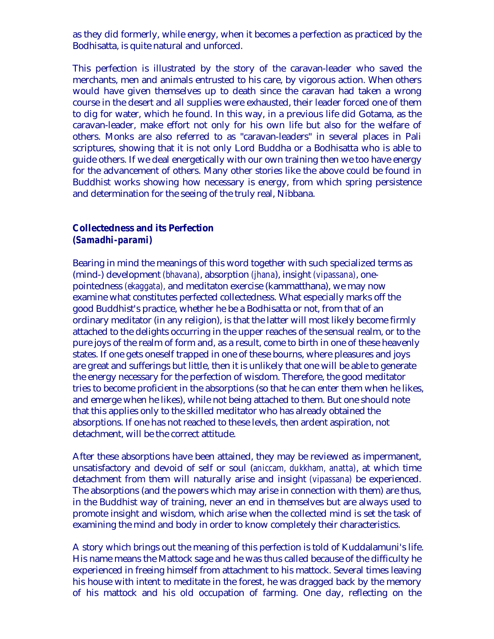<span id="page-12-0"></span>as they did formerly, while energy, when it becomes a perfection as practiced by the Bodhisatta, is quite natural and unforced.

This perfection is illustrated by the story of the caravan-leader who saved the merchants, men and animals entrusted to his care, by vigorous action. When others would have given themselves up to death since the caravan had taken a wrong course in the desert and all supplies were exhausted, their leader forced one of them to dig for water, which he found. In this way, in a previous life did Gotama, as the caravan-leader, make effort not only for his own life but also for the welfare of others. Monks are also referred to as "caravan-leaders" in several places in Pali scriptures, showing that it is not only Lord Buddha or a Bodhisatta who is able to guide others. If we deal energetically with our own training then we too have energy for the advancement of others. Many other stories like the above could be found in Buddhist works showing how necessary is energy, from which spring persistence and determination for the seeing of the truly real, Nibbana.

#### **Collectedness and its Perfection** *(Samadhi-parami)*

Bearing in mind the meanings of this word together with such specialized terms as (mind-) development *(bhavana)*, absorption *(jhana*), insight *(vipassana)*, onepointedness *(ekaggata),* and meditaton exercise (kammatthana), we may now examine what constitutes perfected collectedness. What especially marks off the good Buddhist's practice, whether he be a Bodhisatta or not, from that of an ordinary meditator (in any religion), is that the latter will most likely become firmly attached to the delights occurring in the upper reaches of the sensual realm, or to the pure joys of the realm of form and, as a result, come to birth in one of these heavenly states. If one gets oneself trapped in one of these bourns, where pleasures and joys are great and sufferings but little, then it is unlikely that one will be able to generate the energy necessary for the perfection of wisdom. Therefore, the good meditator tries to become proficient in the absorptions (so that he can enter them when he likes, and emerge when he likes), while not being attached to them. But one should note that this applies only to the skilled meditator who has already obtained the absorptions. If one has not reached to these levels, then ardent aspiration, not detachment, will be the correct attitude.

After these absorptions have been attained, they may be reviewed as impermanent, unsatisfactory and devoid of self or soul (*aniccam, dukkham, anatta)*, at which time detachment from them will naturally arise and insight *(vipassana)* be experienced. The absorptions (and the powers which may arise in connection with them) are thus, in the Buddhist way of training, never an end in themselves but are always used to promote insight and wisdom, which arise when the collected mind is set the task of examining the mind and body in order to know completely their characteristics.

A story which brings out the meaning of this perfection is told of Kuddalamuni's life. His name means the Mattock sage and he was thus called because of the difficulty he experienced in freeing himself from attachment to his mattock. Several times leaving his house with intent to meditate in the forest, he was dragged back by the memory of his mattock and his old occupation of farming. One day, reflecting on the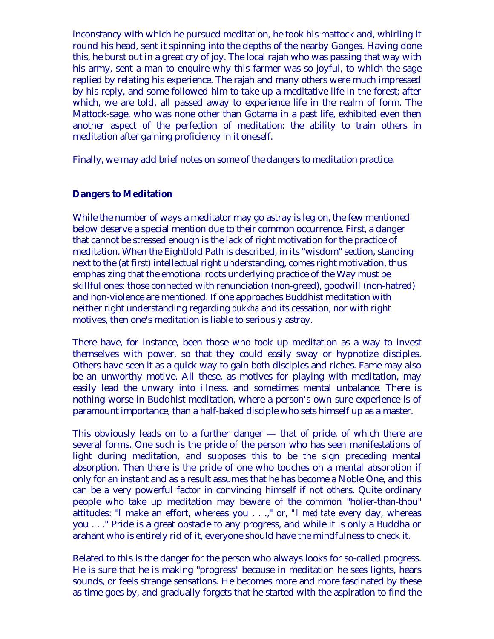<span id="page-13-0"></span>inconstancy with which he pursued meditation, he took his mattock and, whirling it round his head, sent it spinning into the depths of the nearby Ganges. Having done this, he burst out in a great cry of joy. The local rajah who was passing that way with his army, sent a man to enquire why this farmer was so joyful, to which the sage replied by relating his experience. The rajah and many others were much impressed by his reply, and some followed him to take up a meditative life in the forest; after which, we are told, all passed away to experience life in the realm of form. The Mattock-sage, who was none other than Gotama in a past life, exhibited even then another aspect of the perfection of meditation: the ability to train others in meditation after gaining proficiency in it oneself.

Finally, we may add brief notes on some of the dangers to meditation practice.

#### **Dangers to Meditation**

While the number of ways a meditator may go astray is legion, the few mentioned below deserve a special mention due to their common occurrence. First, a danger that cannot be stressed enough is the lack of right motivation for the practice of meditation. When the Eightfold Path is described, in its "wisdom" section, standing next to the (at first) intellectual right understanding, comes right motivation, thus emphasizing that the emotional roots underlying practice of the Way must be skillful ones: those connected with renunciation (non-greed), goodwill (non-hatred) and non-violence are mentioned. If one approaches Buddhist meditation with neither right understanding regarding *dukkha* and its cessation, nor with right motives, then one's meditation is liable to seriously astray.

There have, for instance, been those who took up meditation as a way to invest themselves with power, so that they could easily sway or hypnotize disciples. Others have seen it as a quick way to gain both disciples and riches. Fame may also be an unworthy motive. All these, as motives for playing with meditation, may easily lead the unwary into illness, and sometimes mental unbalance. There is nothing worse in Buddhist meditation, where a person's own sure experience is of paramount importance, than a half-baked disciple who sets himself up as a master.

This obviously leads on to a further danger — that of pride, of which there are several forms. One such is the pride of the person who has seen manifestations of light during meditation, and supposes this to be the sign preceding mental absorption. Then there is the pride of one who touches on a mental absorption if only for an instant and as a result assumes that he has become a Noble One, and this can be a very powerful factor in convincing himself if not others. Quite ordinary people who take up meditation may beware of the common "holier-than-thou" attitudes: "I make an effort, whereas you . . .," or, *"I meditate* every day, whereas you . . ." Pride is a great obstacle to any progress, and while it is only a Buddha or arahant who is entirely rid of it, everyone should have the mindfulness to check it.

Related to this is the danger for the person who always looks for so-called progress. He is sure that he is making "progress" because in meditation he sees lights, hears sounds, or feels strange sensations. He becomes more and more fascinated by these as time goes by, and gradually forgets that he started with the aspiration to find the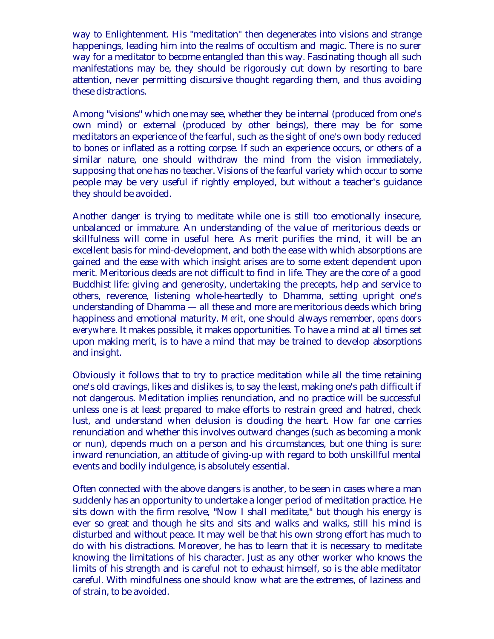way to Enlightenment. His "meditation" then degenerates into visions and strange happenings, leading him into the realms of occultism and magic. There is no surer way for a meditator to become entangled than this way. Fascinating though all such manifestations may be, they should be rigorously cut down by resorting to bare attention, never permitting discursive thought regarding them, and thus avoiding these distractions.

Among "visions" which one may see, whether they be internal (produced from one's own mind) or external (produced by other beings), there may be for some meditators an experience of the fearful, such as the sight of one's own body reduced to bones or inflated as a rotting corpse. If such an experience occurs, or others of a similar nature, one should withdraw the mind from the vision immediately, supposing that one has no teacher. Visions of the fearful variety which occur to some people may be very useful if rightly employed, but without a teacher's guidance they should be avoided.

Another danger is trying to meditate while one is still too emotionally insecure, unbalanced or immature. An understanding of the value of meritorious deeds or skillfulness will come in useful here. As merit purifies the mind, it will be an excellent basis for mind-development, and both the ease with which absorptions are gained and the ease with which insight arises are to some extent dependent upon merit. Meritorious deeds are not difficult to find in life. They are the core of a good Buddhist life: giving and generosity, undertaking the precepts, help and service to others, reverence, listening whole-heartedly to Dhamma, setting upright one's understanding of Dhamma — all these and more are meritorious deeds which bring happiness and emotional maturity. *Merit*, one should always remember, *opens doors everywhere*. It makes possible, it makes opportunities. To have a mind at all times set upon making merit, is to have a mind that may be trained to develop absorptions and insight.

Obviously it follows that to try to practice meditation while all the time retaining one's old cravings, likes and dislikes is, to say the least, making one's path difficult if not dangerous. Meditation implies renunciation, and no practice will be successful unless one is at least prepared to make efforts to restrain greed and hatred, check lust, and understand when delusion is clouding the heart. How far one carries renunciation and whether this involves outward changes (such as becoming a monk or nun), depends much on a person and his circumstances, but one thing is sure: inward renunciation, an attitude of giving-up with regard to both unskillful mental events and bodily indulgence, is absolutely essential.

Often connected with the above dangers is another, to be seen in cases where a man suddenly has an opportunity to undertake a longer period of meditation practice. He sits down with the firm resolve, "Now I shall meditate," but though his energy is ever so great and though he sits and sits and walks and walks, still his mind is disturbed and without peace. It may well be that his own strong effort has much to do with his distractions. Moreover, he has to learn that it is necessary to meditate knowing the limitations of his character. Just as any other worker who knows the limits of his strength and is careful not to exhaust himself, so is the able meditator careful. With mindfulness one should know what are the extremes, of laziness and of strain, to be avoided.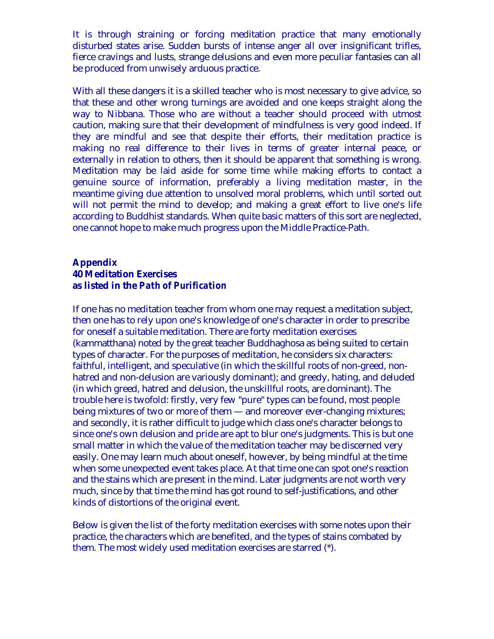<span id="page-15-0"></span>It is through straining or forcing meditation practice that many emotionally disturbed states arise. Sudden bursts of intense anger all over insignificant trifles, fierce cravings and lusts, strange delusions and even more peculiar fantasies can all be produced from unwisely arduous practice.

With all these dangers it is a skilled teacher who is most necessary to give advice, so that these and other wrong turnings are avoided and one keeps straight along the way to Nibbana. Those who are without a teacher should proceed with utmost caution, making sure that their development of mindfulness is very good indeed. If they are mindful and see that despite their efforts, their meditation practice is making no real difference to their lives in terms of greater internal peace, or externally in relation to others, then it should be apparent that something is wrong. Meditation may be laid aside for some time while making efforts to contact a genuine source of information, preferably a living meditation master, in the meantime giving due attention to unsolved moral problems, which until sorted out will not permit the mind to develop; and making a great effort to live one's life according to Buddhist standards. When quite basic matters of this sort are neglected, one cannot hope to make much progress upon the Middle Practice-Path.

# **Appendix 40 Meditation Exercises as listed in the** *Path of Purification*

If one has no meditation teacher from whom one may request a meditation subject, then one has to rely upon one's knowledge of one's character in order to prescribe for oneself a suitable meditation. There are forty meditation exercises (kammatthana) noted by the great teacher Buddhaghosa as being suited to certain types of character. For the purposes of meditation, he considers six characters: faithful, intelligent, and speculative (in which the skillful roots of non-greed, nonhatred and non-delusion are variously dominant); and greedy, hating, and deluded (in which greed, hatred and delusion, the unskillful roots, are dominant). The trouble here is twofold: firstly, very few "pure" types can be found, most people being mixtures of two or more of them — and moreover ever-changing mixtures; and secondly, it is rather difficult to judge which class one's character belongs to since one's own delusion and pride are apt to blur one's judgments. This is but one small matter in which the value of the meditation teacher may be discerned very easily. One may learn much about oneself, however, by being mindful at the time when some unexpected event takes place. At that time one can spot one's reaction and the stains which are present in the mind. Later judgments are not worth very much, since by that time the mind has got round to self-justifications, and other kinds of distortions of the original event.

Below is given the list of the forty meditation exercises with some notes upon their practice, the characters which are benefited, and the types of stains combated by them. The most widely used meditation exercises are starred (\*).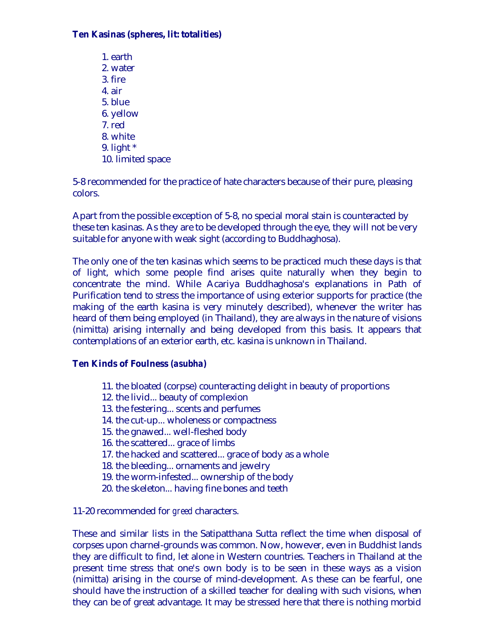## **Ten Kasinas (spheres, lit: totalities)**

1. earth 2. water 3. fire 4. air 5. blue 6. yellow 7. red 8. white 9. light \* 10. limited space

5-8 recommended for the practice of hate characters because of their pure, pleasing colors.

Apart from the possible exception of 5-8, no special moral stain is counteracted by these ten kasinas. As they are to be developed through the eye, they will not be very suitable for anyone with weak sight (according to Buddhaghosa).

The only one of the ten kasinas which seems to be practiced much these days is that of light, which some people find arises quite naturally when they begin to concentrate the mind. While Acariya Buddhaghosa's explanations in Path of Purification tend to stress the importance of using exterior supports for practice (the making of the earth kasina is very minutely described), whenever the writer has heard of them being employed (in Thailand), they are always in the nature of visions (nimitta) arising internally and being developed from this basis. It appears that contemplations of an exterior earth, etc. kasina is unknown in Thailand.

#### **Ten Kinds of Foulness** *(asubha)*

- 11. the bloated (corpse) counteracting delight in beauty of proportions
- 12. the livid... beauty of complexion
- 13. the festering... scents and perfumes
- 14. the cut-up... wholeness or compactness
- 15. the gnawed... well-fleshed body
- 16. the scattered... grace of limbs
- 17. the hacked and scattered... grace of body as a whole
- 18. the bleeding... ornaments and jewelry
- 19. the worm-infested... ownership of the body
- 20. the skeleton... having fine bones and teeth

11-20 recommended for *greed* characters.

These and similar lists in the Satipatthana Sutta reflect the time when disposal of corpses upon charnel-grounds was common. Now, however, even in Buddhist lands they are difficult to find, let alone in Western countries. Teachers in Thailand at the present time stress that one's own body is to be seen in these ways as a vision (nimitta) arising in the course of mind-development. As these can be fearful, one should have the instruction of a skilled teacher for dealing with such visions, when they can be of great advantage. It may be stressed here that there is nothing morbid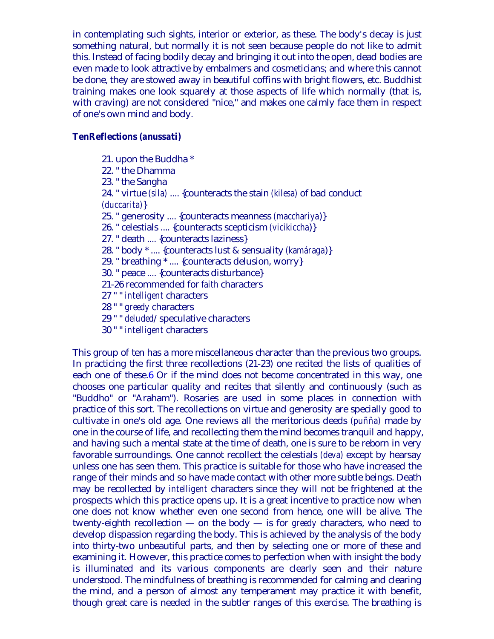<span id="page-17-0"></span>in contemplating such sights, interior or exterior, as these. The body's decay is just something natural, but normally it is not seen because people do not like to admit this. Instead of facing bodily decay and bringing it out into the open, dead bodies are even made to look attractive by embalmers and cosmeticians; and where this cannot be done, they are stowed away in beautiful coffins with bright flowers, etc. Buddhist training makes one look squarely at those aspects of life which normally (that is, with craving) are not considered "nice," and makes one calmly face them in respect of one's own mind and body.

#### **TenReflections** *(anussati)*

- 21. upon the Buddha \*
- 22. " the Dhamma
- 23. " the Sangha
- 24. " virtue *(sila)* .... {counteracts the stain *(kilesa)* of bad conduct *(duccarita)*}
- 25. " generosity .... {counteracts meanness *(macchariya*)}
- 26. " celestials .... {counteracts scepticism *(vicikiccha*)}
- 27. " death .... {counteracts laziness}
- 28. " body \* .... {counteracts lust & sensuality *(kamáraga*)}
- 29. " breathing \* .... {counteracts delusion, worry}
- 30. " peace .... {counteracts disturbance}
- 21-26 recommended for *faith* characters
- 27 " " *intelligent* characters
- 28 " " *greedy* characters
- 29 " " *deluded*/speculative characters
- 30 " " *intelligent* characters

This group of ten has a more miscellaneous character than the previous two groups. In practicing the first three recollections (21-23) one recited the lists of qualities of each one of these.[6](#page-19-0) Or if the mind does not become concentrated in this way, one chooses one particular quality and recites that silently and continuously (such as "Buddho" or "Araham"). Rosaries are used in some places in connection with practice of this sort. The recollections on virtue and generosity are specially good to cultivate in one's old age. One reviews all the meritorious deeds *(puñña)* made by one in the course of life, and recollecting them the mind becomes tranquil and happy, and having such a mental state at the time of death, one is sure to be reborn in very favorable surroundings. One cannot recollect the celestials *(deva)* except by hearsay unless one has seen them. This practice is suitable for those who have increased the range of their minds and so have made contact with other more subtle beings. Death may be recollected by *intelligent* characters since they will not be frightened at the prospects which this practice opens up. It is a great incentive to practice now when one does not know whether even one second from hence, one will be alive. The twenty-eighth recollection — on the body — is for *greedy* characters, who need to develop dispassion regarding the body. This is achieved by the analysis of the body into thirty-two unbeautiful parts, and then by selecting one or more of these and examining it. However, this practice comes to perfection when with insight the body is illuminated and its various components are clearly seen and their nature understood. The mindfulness of breathing is recommended for calming and clearing the mind, and a person of almost any temperament may practice it with benefit, though great care is needed in the subtler ranges of this exercise. The breathing is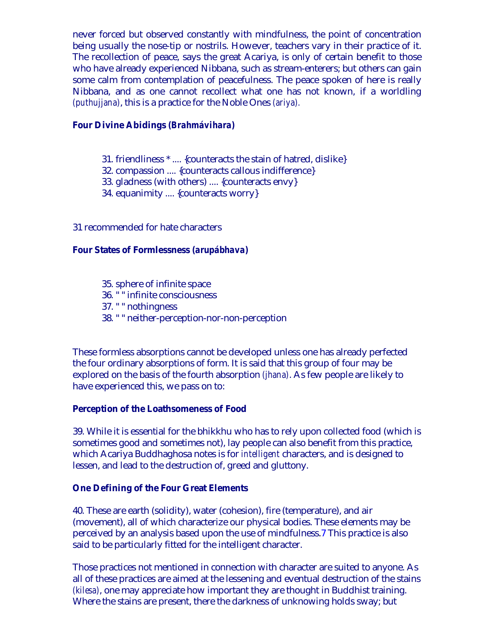<span id="page-18-0"></span>never forced but observed constantly with mindfulness, the point of concentration being usually the nose-tip or nostrils. However, teachers vary in their practice of it. The recollection of peace, says the great Acariya, is only of certain benefit to those who have already experienced Nibbana, such as stream-enterers; but others can gain some calm from contemplation of peacefulness. The peace spoken of here is really Nibbana, and as one cannot recollect what one has not known, if a worldling *(puthujjana)*, this is a practice for the Noble Ones *(ariya).*

#### **Four Divine Abidings** *(Brahmávihara)*

- 31. friendliness \* .... {counteracts the stain of hatred, dislike}
- 32. compassion .... {counteracts callous indifference}
- 33. gladness (with others) .... {counteracts envy}
- 34. equanimity .... {counteracts worry}

#### 31 recommended for hate characters

#### **Four States of Formlessness** *(arupábhava)*

- 35. sphere of infinite space
- 36. " " infinite consciousness
- 37. " " nothingness
- 38. " " neither-perception-nor-non-perception

These formless absorptions cannot be developed unless one has already perfected the four ordinary absorptions of form. It is said that this group of four may be explored on the basis of the fourth absorption *(jhana)*. As few people are likely to have experienced this, we pass on to:

#### **Perception of the Loathsomeness of Food**

39. While it is essential for the bhikkhu who has to rely upon collected food (which is sometimes good and sometimes not), lay people can also benefit from this practice, which Acariya Buddhaghosa notes is for *intelligent* characters, and is designed to lessen, and lead to the destruction of, greed and gluttony.

#### **One Defining of the Four Great Elements**

40. These are earth (solidity), water (cohesion), fire (temperature), and air (movement), all of which characterize our physical bodies. These elements may be perceived by an analysis based upon the use of mindfulness.[7](#page-19-0) This practice is also said to be particularly fitted for the intelligent character.

Those practices not mentioned in connection with character are suited to anyone. As all of these practices are aimed at the lessening and eventual destruction of the stains *(kilesa)*, one may appreciate how important they are thought in Buddhist training. Where the stains are present, there the darkness of unknowing holds sway; but